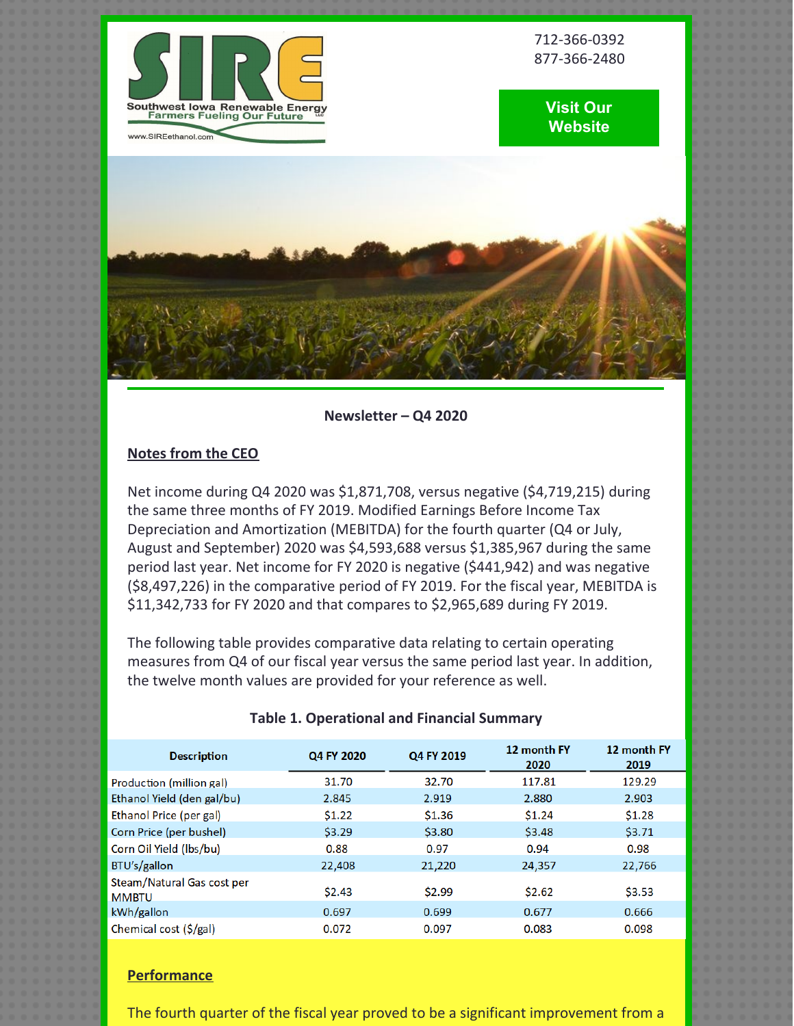





**Newsletter – Q4 2020**

# **Notes from the CEO**

Net income during Q4 2020 was \$1,871,708, versus negative (\$4,719,215) during the same three months of FY 2019. Modified Earnings Before Income Tax Depreciation and Amortization (MEBITDA) for the fourth quarter (Q4 or July, August and September) 2020 was \$4,593,688 versus \$1,385,967 during the same period last year. Net income for FY 2020 is negative (\$441,942) and was negative (\$8,497,226) in the comparative period of FY 2019. For the fiscal year, MEBITDA is \$11,342,733 for FY 2020 and that compares to \$2,965,689 during FY 2019.

The following table provides comparative data relating to certain operating measures from Q4 of our fiscal year versus the same period last year. In addition, the twelve month values are provided for your reference as well.

| <b>Description</b>                         | Q4 FY 2020 | Q4 FY 2019 | 12 month FY<br>2020 | 12 month FY<br>2019 |
|--------------------------------------------|------------|------------|---------------------|---------------------|
| Production (million gal)                   | 31.70      | 32.70      | 117.81              | 129.29              |
| Ethanol Yield (den gal/bu)                 | 2.845      | 2.919      | 2.880               | 2.903               |
| Ethanol Price (per gal)                    | \$1.22     | \$1.36     | \$1.24              | \$1.28              |
| Corn Price (per bushel)                    | \$3.29     | \$3.80     | \$3.48              | \$3.71              |
| Corn Oil Yield (lbs/bu)                    | 0.88       | 0.97       | 0.94                | 0.98                |
| BTU's/gallon                               | 22,408     | 21,220     | 24,357              | 22,766              |
| Steam/Natural Gas cost per<br><b>MMBTU</b> | \$2.43     | \$2.99     | \$2.62              | \$3.53              |
| kWh/gallon                                 | 0.697      | 0.699      | 0.677               | 0.666               |
| Chemical cost (\$/gal)                     | 0.072      | 0.097      | 0.083               | 0.098               |

## **Table 1. Operational and Financial Summary**

# **Performance**

The fourth quarter of the fiscal year proved to be a significant improvement from a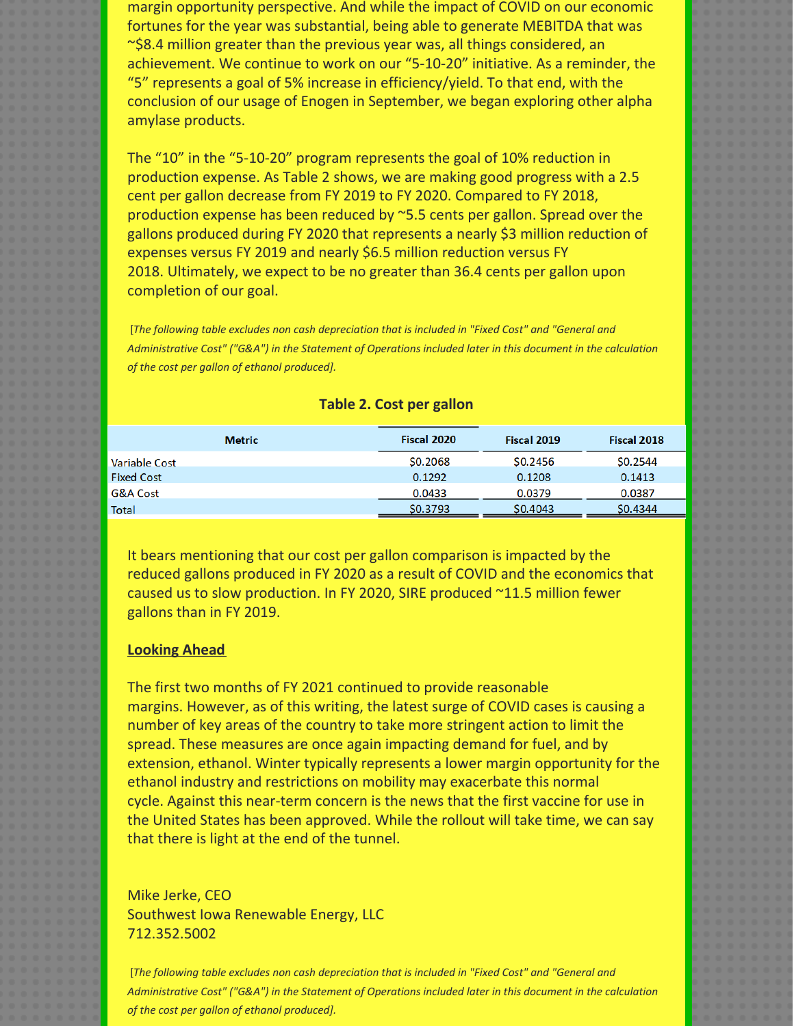margin opportunity perspective. And while the impact of COVID on our economic fortunes for the year was substantial, being able to generate MEBITDA that was ~\$8.4 million greater than the previous year was, all things considered, an achievement. We continue to work on our "5-10-20" initiative. As a reminder, the "5" represents a goal of 5% increase in efficiency/yield. To that end, with the conclusion of our usage of Enogen in September, we began exploring other alpha amylase products.

The "10" in the "5-10-20" program represents the goal of 10% reduction in production expense. As Table 2 shows, we are making good progress with a 2.5 cent per gallon decrease from FY 2019 to FY 2020. Compared to FY 2018, production expense has been reduced by ~5.5 cents per gallon. Spread over the gallons produced during FY 2020 that represents a nearly \$3 million reduction of expenses versus FY 2019 and nearly \$6.5 million reduction versus FY 2018. Ultimately, we expect to be no greater than 36.4 cents per gallon upon completion of our goal.

[*The following table excludes non cash depreciation that is included in "Fixed Cost" and "General and Administrative Cost" ("G&A") in the Statement of Operations included later in this document in the calculation of the cost per gallon of ethanol produced].*

| <b>Metric</b> | Fiscal 2020 | Fiscal 2019 | <b>Fiscal 2018</b> |
|---------------|-------------|-------------|--------------------|
| Variable Cost | \$0.2068    | \$0.2456    | \$0.2544           |
| Fixed Cost    | 0.1292      | 0.1208      | 0.1413             |
| G&A Cost      | 0.0433      | 0.0379      | 0.0387             |
| Total         | \$0.3793    | \$0.4043    | \$0,4344           |

#### **Table 2. Cost per gallon**

It bears mentioning that our cost per gallon comparison is impacted by the reduced gallons produced in FY 2020 as a result of COVID and the economics that caused us to slow production. In FY 2020, SIRE produced ~11.5 million fewer gallons than in FY 2019.

#### **Looking Ahead**

The first two months of FY 2021 continued to provide reasonable margins. However, as of this writing, the latest surge of COVID cases is causing a number of key areas of the country to take more stringent action to limit the spread. These measures are once again impacting demand for fuel, and by extension, ethanol. Winter typically represents a lower margin opportunity for the ethanol industry and restrictions on mobility may exacerbate this normal cycle. Against this near-term concern is the news that the first vaccine for use in the United States has been approved. While the rollout will take time, we can say that there is light at the end of the tunnel.

Mike Jerke, CEO Southwest Iowa Renewable Energy, LLC 712.352.5002

[*The following table excludes non cash depreciation that is included in "Fixed Cost" and "General and Administrative Cost" ("G&A") in the Statement of Operations included later in this document in the calculation of the cost per gallon of ethanol produced].*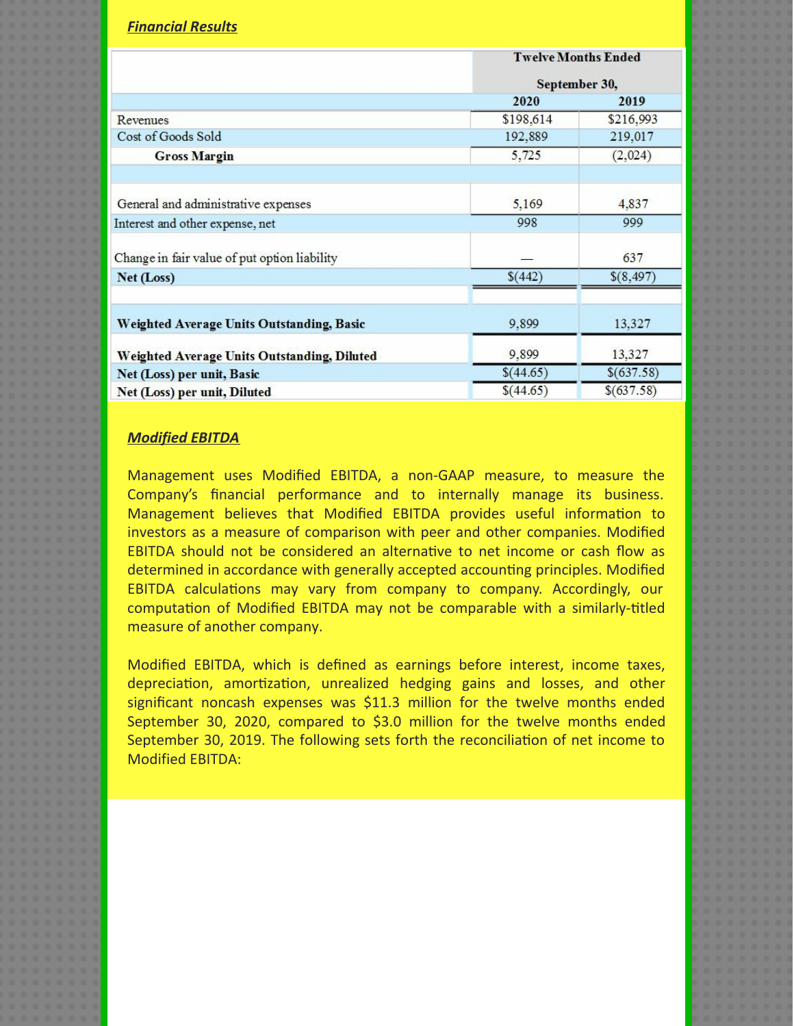### *Financial Results*

|                                                  | <b>Twelve Months Ended</b><br>September 30, |            |
|--------------------------------------------------|---------------------------------------------|------------|
|                                                  |                                             |            |
|                                                  | 2020                                        | 2019       |
| Revenues                                         | \$198,614                                   | \$216,993  |
| Cost of Goods Sold                               | 192,889                                     | 219,017    |
| <b>Gross Margin</b>                              | 5,725                                       | (2,024)    |
| General and administrative expenses              | 5,169                                       | 4,837      |
| Interest and other expense, net                  | 998                                         | 999        |
| Change in fair value of put option liability     |                                             | 637        |
| Net (Loss)                                       | \$(442)                                     | \$(8,497)  |
| <b>Weighted Average Units Outstanding, Basic</b> | 9,899                                       | 13,327     |
| Weighted Average Units Outstanding, Diluted      | 9,899                                       | 13,327     |
| Net (Loss) per unit, Basic                       | \$(44.65)                                   | \$(637.58) |
| Net (Loss) per unit, Diluted                     | \$(44.65)                                   | \$(637.58) |

## *Modified EBITDA*

Management uses Modified EBITDA, a non-GAAP measure, to measure the Company's financial performance and to internally manage its business. Management believes that Modified EBITDA provides useful information to investors as a measure of comparison with peer and other companies. Modified EBITDA should not be considered an alternative to net income or cash flow as determined in accordance with generally accepted accounting principles. Modified EBITDA calculations may vary from company to company. Accordingly, our computation of Modified EBITDA may not be comparable with a similarly-titled measure of another company.

Modified EBITDA, which is defined as earnings before interest, income taxes, depreciation, amortization, unrealized hedging gains and losses, and other significant noncash expenses was \$11.3 million for the twelve months ended September 30, 2020, compared to \$3.0 million for the twelve months ended September 30, 2019. The following sets forth the reconciliation of net income to Modified EBITDA: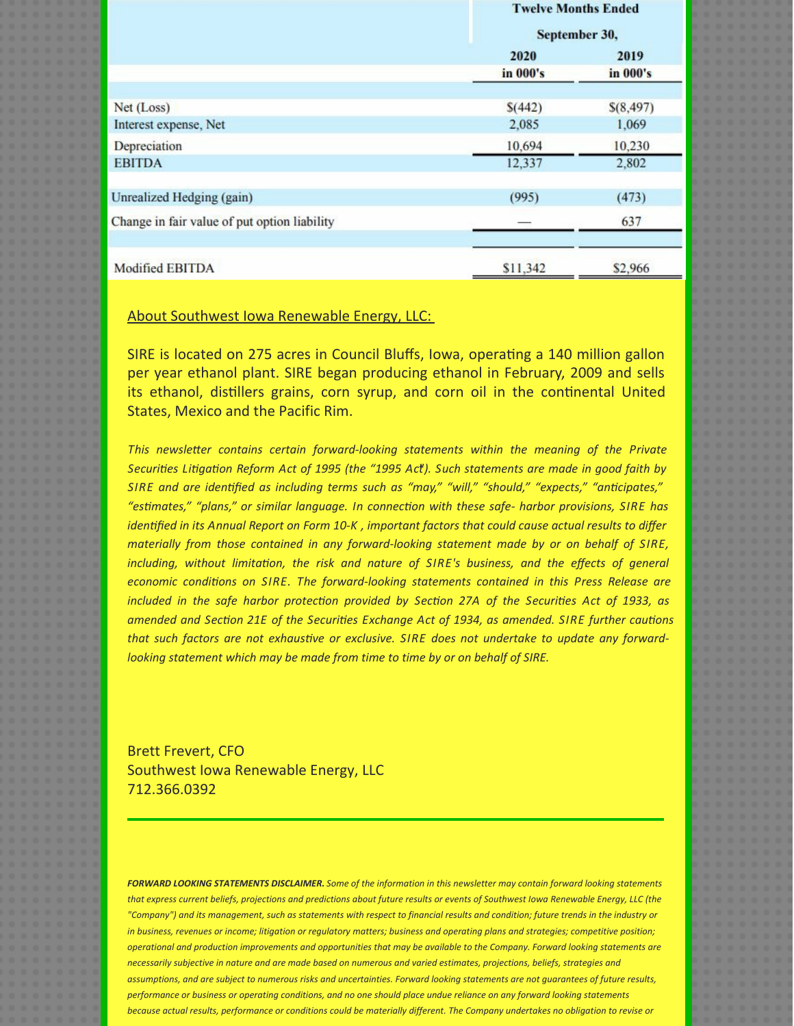|                                              | <b>Twelve Months Ended</b> |            |  |
|----------------------------------------------|----------------------------|------------|--|
|                                              | September 30,              |            |  |
|                                              | 2020                       | 2019       |  |
|                                              | in 000's                   | in 000's   |  |
| Net (Loss)                                   | \$(442)                    | \$(8, 497) |  |
| Interest expense, Net                        | 2,085                      | 1,069      |  |
| Depreciation                                 | 10,694                     | 10,230     |  |
| <b>EBITDA</b>                                | 12,337                     | 2,802      |  |
| Unrealized Hedging (gain)                    | (995)                      | (473)      |  |
| Change in fair value of put option liability |                            | 637        |  |
| <b>Modified EBITDA</b>                       | \$11,342                   | \$2,966    |  |

### About Southwest Iowa Renewable Energy, LLC:

SIRE is located on 275 acres in Council Bluffs, Iowa, operating a 140 million gallon per year ethanol plant. SIRE began producing ethanol in February, 2009 and sells its ethanol, distillers grains, corn syrup, and corn oil in the continental United States, Mexico and the Pacific Rim.

*This newsle\$er contains certain forward-looking statements within the meaning of the Private Securi(es Li(ga(on Reform Act of 1995 (the "1995 Act*"*). Such statements are made in good faith by SIRE and are iden(fied as including terms such as "may," "will," "should," "expects," "an(cipates," "es(mates," "plans," or similar language. In connec(on with these safe- harbor provisions, SIRE has* identified in its Annual Report on Form 10-K, important factors that could cause actual results to differ *materially from those contained in any forward-looking statement made by or on behalf of SIRE, including, without limita(on, the risk and nature of SIRE's business, and the effects of general economic condi(ons on SIRE. The forward-looking statements contained in this Press Release are included in the safe harbor protection provided by Section 27A of the Securities Act of 1933, as amended and Sec(on 21E of the Securi(es Exchange Act of 1934, as amended. SIRE further cau(ons that such factors are not exhaus(ve or exclusive. SIRE does not undertake to update any forwardlooking statement which may be made from time to time by or on behalf of SIRE.*

Brett Frevert, CFO Southwest Iowa Renewable Energy, LLC 712.366.0392

FORWARD LOOKING STATEMENTS DISCLAIMER. Some of the information in this newsletter may contain forward looking statements that express current beliefs, projections and predictions about future results or events of Southwest Iowa Renewable Energy, LLC (the "Company") and its management, such as statements with respect to financial results and condition; future trends in the industry or in business, revenues or income; litigation or regulatory matters; business and operating plans and strategies; competitive position; operational and production improvements and opportunities that may be available to the Company. Forward looking statements are necessarily subjective in nature and are made based on numerous and varied estimates, projections, beliefs, strategies and assumptions, and are subject to numerous risks and uncertainties. Forward looking statements are not quarantees of future results, performance or business or operating conditions, and no one should place undue reliance on any forward looking statements because actual results, performance or conditions could be materially different. The Company undertakes no obligation to revise or